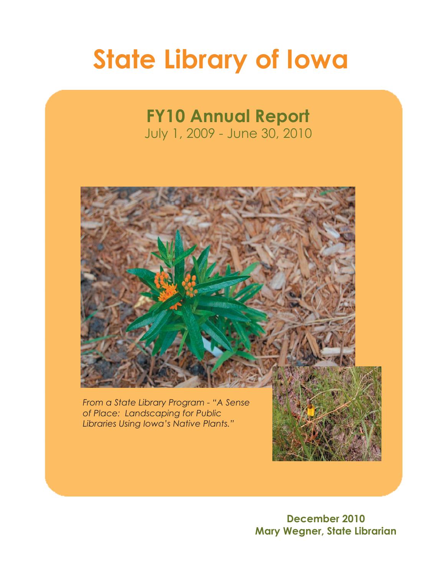# **State Library of Iowa**

# **FY10 Annual Report**

July 1, 2009 - June 30, 2010



*From a State Library Program - "A Sense of Place: Landscaping for Public Libraries Using Iowa's Native Plants."*



**December 2010 Mary Wegner, State Librarian**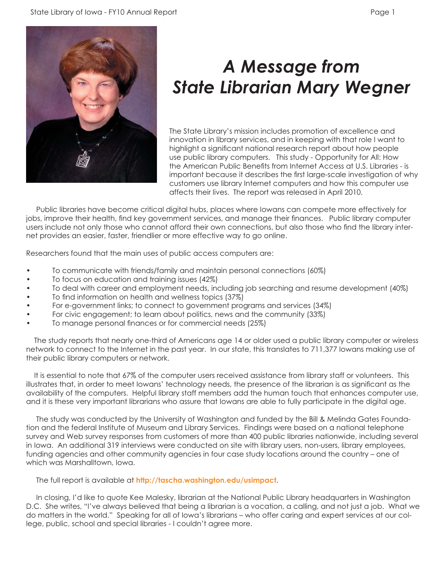



### *A Message from State Librarian Mary Wegner*

The State Library's mission includes promotion of excellence and innovation in library services, and in keeping with that role I want to highlight a significant national research report about how people use public library computers. This study - Opportunity for All: How the American Public Benefits from Internet Access at U.S. Libraries - is important because it describes the first large-scale investigation of why customers use library Internet computers and how this computer use affects their lives. The report was released in April 2010.

 Public libraries have become critical digital hubs, places where Iowans can compete more effectively for jobs, improve their health, find key government services, and manage their finances. Public library computer users include not only those who cannot afford their own connections, but also those who find the library internet provides an easier, faster, friendlier or more effective way to go online.

Researchers found that the main uses of public access computers are:

- To communicate with friends/family and maintain personal connections (60%)
- To focus on education and training issues (42%)
- To deal with career and employment needs, including job searching and resume development (40%)
- To find information on health and wellness topics (37%)
- For e-government links; to connect to government programs and services (34%)
- For civic engagement; to learn about politics, news and the community (33%)
- To manage personal finances or for commercial needs (25%)

 The study reports that nearly one-third of Americans age 14 or older used a public library computer or wireless network to connect to the Internet in the past year. In our state, this translates to 711,377 Iowans making use of their public library computers or network.

 It is essential to note that 67% of the computer users received assistance from library staff or volunteers. This illustrates that, in order to meet Iowans' technology needs, the presence of the librarian is as significant as the availability of the computers. Helpful library staff members add the human touch that enhances computer use, and it is these very important librarians who assure that Iowans are able to fully participate in the digital age.

 The study was conducted by the University of Washington and funded by the Bill & Melinda Gates Foundation and the federal Institute of Museum and Library Services. Findings were based on a national telephone survey and Web survey responses from customers of more than 400 public libraries nationwide, including several in Iowa. An additional 319 interviews were conducted on site with library users, non-users, library employees, funding agencies and other community agencies in four case study locations around the country – one of which was Marshalltown, Iowa.

The full report is available at **<http://tascha.washington.edu/usimpact>**.

 In closing, I'd like to quote Kee Malesky, librarian at the National Public Library headquarters in Washington D.C. She writes, "I've always believed that being a librarian is a vocation, a calling, and not just a job. What we do matters in the world." Speaking for all of Iowa's librarians – who offer caring and expert services at our college, public, school and special libraries - I couldn't agree more.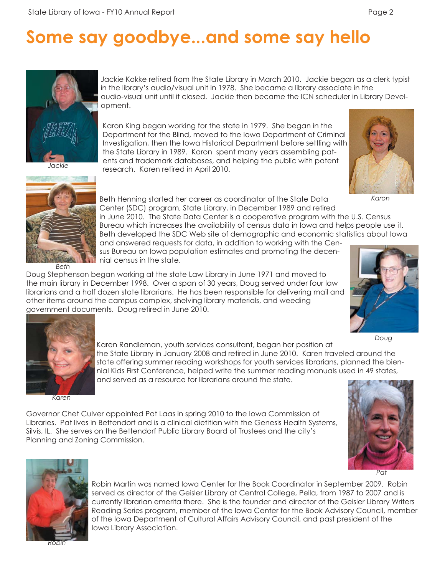# **Some say goodbye...and some say hello**



*Jackie*

Jackie Kokke retired from the State Library in March 2010. Jackie began as a clerk typist in the library's audio/visual unit in 1978. She became a library associate in the audio-visual unit until it closed. Jackie then became the ICN scheduler in Library Development.

Karon King began working for the state in 1979. She began in the Department for the Blind, moved to the Iowa Department of Criminal Investigation, then the Iowa Historical Department before settling with the State Library in 1989. Karon spent many years assembling patents and trademark databases, and helping the public with patent research. Karen retired in April 2010.



*Karon*



Beth Henning started her career as coordinator of the State Data Center (SDC) program, State Library, in December 1989 and retired in June 2010. The State Data Center is a cooperative program with the U.S. Census Bureau which increases the availability of census data in Iowa and helps people use it. Beth developed the SDC Web site of demographic and economic statistics about Iowa

and answered requests for data, in addition to working with the Census Bureau on Iowa population estimates and promoting the decennial census in the state.

Doug Stephenson began working at the state Law Library in June 1971 and moved to the main library in December 1998. Over a span of 30 years, Doug served under four law librarians and a half dozen state librarians. He has been responsible for delivering mail and other items around the campus complex, shelving library materials, and weeding government documents. Doug retired in June 2010.







*Karen*

Governor Chet Culver appointed Pat Laas in spring 2010 to the Iowa Commission of Libraries. Pat lives in Bettendorf and is a clinical dietitian with the Genesis Health Systems, Silvis, IL. She serves on the Bettendorf Public Library Board of Trustees and the city's Planning and Zoning Commission.





Robin Martin was named Iowa Center for the Book Coordinator in September 2009. Robin served as director of the Geisler Library at Central College, Pella, from 1987 to 2007 and is currently librarian emerita there. She is the founder and director of the Geisler Library Writers Reading Series program, member of the Iowa Center for the Book Advisory Council, member of the Iowa Department of Cultural Affairs Advisory Council, and past president of the Iowa Library Association.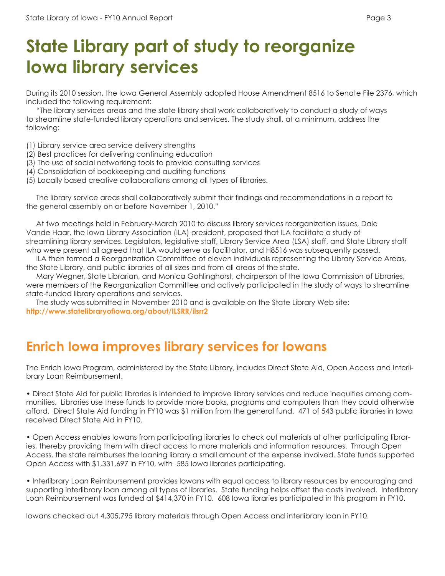## **State Library part of study to reorganize Iowa library services**

During its 2010 session, the Iowa General Assembly adopted House Amendment 8516 to Senate File 2376, which included the following requirement:

 "The library services areas and the state library shall work collaboratively to conduct a study of ways to streamline state-funded library operations and services. The study shall, at a minimum, address the following:

- (1) Library service area service delivery strengths
- (2) Best practices for delivering continuing education
- (3) The use of social networking tools to provide consulting services
- (4) Consolidation of bookkeeping and auditing functions
- (5) Locally based creative collaborations among all types of libraries.

The library service areas shall collaboratively submit their findings and recommendations in a report to the general assembly on or before November 1, 2010."

 At two meetings held in February-March 2010 to discuss library services reorganization issues, Dale Vande Haar, the Iowa Library Association (ILA) president, proposed that ILA facilitate a study of streamlining library services. Legislators, legislative staff, Library Service Area (LSA) staff, and State Library staff who were present all agreed that ILA would serve as facilitator, and H8516 was subsequently passed.

 ILA then formed a Reorganization Committee of eleven individuals representing the Library Service Areas, the State Library, and public libraries of all sizes and from all areas of the state.

 Mary Wegner, State Librarian, and Monica Gohlinghorst, chairperson of the Iowa Commission of Libraries, were members of the Reorganization Committee and actively participated in the study of ways to streamline state-funded library operations and services.

 The study was submitted in November 2010 and is available on the State Library Web site: http://www.statelibraryofiowa.org/about/ILSRR/ilsrr2

#### **Enrich Iowa improves library services for Iowans**

The Enrich Iowa Program, administered by the State Library, includes Direct State Aid, Open Access and Interlibrary Loan Reimbursement.

• Direct State Aid for public libraries is intended to improve library services and reduce inequities among communities. Libraries use these funds to provide more books, programs and computers than they could otherwise afford. Direct State Aid funding in FY10 was \$1 million from the general fund. 471 of 543 public libraries in Iowa received Direct State Aid in FY10.

• Open Access enables Iowans from participating libraries to check out materials at other participating libraries, thereby providing them with direct access to more materials and information resources. Through Open Access, the state reimburses the loaning library a small amount of the expense involved. State funds supported Open Access with \$1,331,697 in FY10, with 585 Iowa libraries participating.

• Interlibrary Loan Reimbursement provides Iowans with equal access to library resources by encouraging and supporting interlibrary loan among all types of libraries. State funding helps offset the costs involved. Interlibrary Loan Reimbursement was funded at \$414,370 in FY10. 608 Iowa libraries participated in this program in FY10.

Iowans checked out 4,305,795 library materials through Open Access and interlibrary loan in FY10.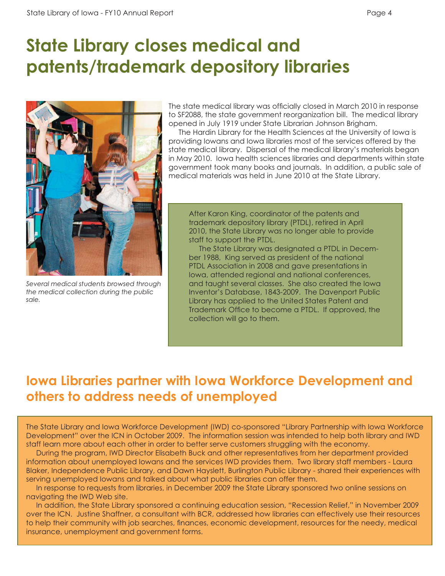#### **State Library closes medical and patents/trademark depository libraries**



*Several medical students browsed through the medical collection during the public sale.*

The state medical library was officially closed in March 2010 in response to SF2088, the state government reorganization bill. The medical library opened in July 1919 under State Librarian Johnson Brigham.

 The Hardin Library for the Health Sciences at the University of Iowa is providing Iowans and Iowa libraries most of the services offered by the state medical library. Dispersal of the medical library's materials began in May 2010. Iowa health sciences libraries and departments within state government took many books and journals. In addition, a public sale of medical materials was held in June 2010 at the State Library.

After Karon King, coordinator of the patents and trademark depository library (PTDL), retired in April 2010, the State Library was no longer able to provide staff to support the PTDL.

 The State Library was designated a PTDL in December 1988, King served as president of the national PTDL Association in 2008 and gave presentations in Iowa, attended regional and national conferences, and taught several classes. She also created the Iowa Inventor's Database, 1843-2009. The Davenport Public Library has applied to the United States Patent and Trademark Office to become a PTDL. If approved, the collection will go to them.

#### **Iowa Libraries partner with Iowa Workforce Development and others to address needs of unemployed**

The State Library and Iowa Workforce Development (IWD) co-sponsored "Library Partnership with Iowa Workforce Development" over the ICN in October 2009. The information session was intended to help both library and IWD staff learn more about each other in order to better serve customers struggling with the economy.

 During the program, IWD Director Elisabeth Buck and other representatives from her department provided information about unemployed Iowans and the services IWD provides them. Two library staff members - Laura Blaker, Independence Public Library, and Dawn Hayslett, Burlington Public Library - shared their experiences with serving unemployed Iowans and talked about what public libraries can offer them.

 In response to requests from libraries, in December 2009 the State Library sponsored two online sessions on navigating the IWD Web site.

 In addition, the State Library sponsored a continuing education session, "Recession Relief," in November 2009 over the ICN. Justine Shaffner, a consultant with BCR, addressed how libraries can effectively use their resources to help their community with job searches, finances, economic development, resources for the needy, medical insurance, unemployment and government forms.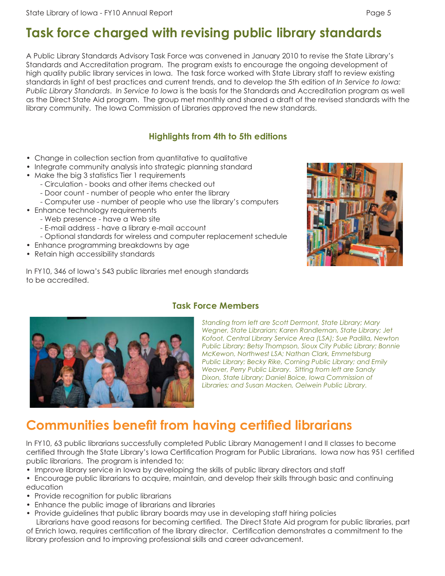#### **Task force charged with revising public library standards**

A Public Library Standards Advisory Task Force was convened in January 2010 to revise the State Library's Standards and Accreditation program. The program exists to encourage the ongoing development of high quality public library services in Iowa. The task force worked with State Library staff to review existing standards in light of best practices and current trends, and to develop the 5th edition of *In Service to Iowa: Public Library Standards*. *In Service to Iowa* is the basis for the Standards and Accreditation program as well as the Direct State Aid program. The group met monthly and shared a draft of the revised standards with the library community. The Iowa Commission of Libraries approved the new standards.

#### **Highlights from 4th to 5th editions**

- Change in collection section from quantitative to qualitative
- Integrate community analysis into strategic planning standard
- Make the big 3 statistics Tier 1 requirements
	- Circulation books and other items checked out
	- Door count number of people who enter the library
	- Computer use number of people who use the library's computers
- Enhance technology requirements
	- Web presence have a Web site
	- E-mail address have a library e-mail account
	- Optional standards for wireless and computer replacement schedule
- Enhance programming breakdowns by age
- Retain high accessibility standards

In FY10, 346 of Iowa's 543 public libraries met enough standards to be accredited.





#### **Task Force Members**

*Standing from left are Scott Dermont, State Library; Mary Wegner, State Librarian; Karen Randleman, State Library; Jet Kofoot, Central Library Service Area (LSA); Sue Padilla, Newton Public Library; Betsy Thompson, Sioux City Public Library; Bonnie McKewon, Northwest LSA; Nathan Clark, Emmetsburg Public Library; Becky Rike, Corning Public Library; and Emily Weaver, Perry Public Library. Sitting from left are Sandy Dixon, State Library; Daniel Boice, Iowa Commission of Libraries; and Susan Macken, Oelwein Public Library.*

#### **Communities benefit from having certified librarians**

In FY10, 63 public librarians successfully completed Public Library Management I and II classes to become certified through the State Library's Iowa Certification Program for Public Librarians. Iowa now has 951 certified public librarians. The program is intended to:

- Improve library service in Iowa by developing the skills of public library directors and staff
- Encourage public librarians to acquire, maintain, and develop their skills through basic and continuing education
- Provide recognition for public librarians
- Enhance the public image of librarians and libraries
- Provide guidelines that public library boards may use in developing staff hiring policies

Librarians have good reasons for becoming certified. The Direct State Aid program for public libraries, part of Enrich Iowa, requires certification of the library director. Certification demonstrates a commitment to the library profession and to improving professional skills and career advancement.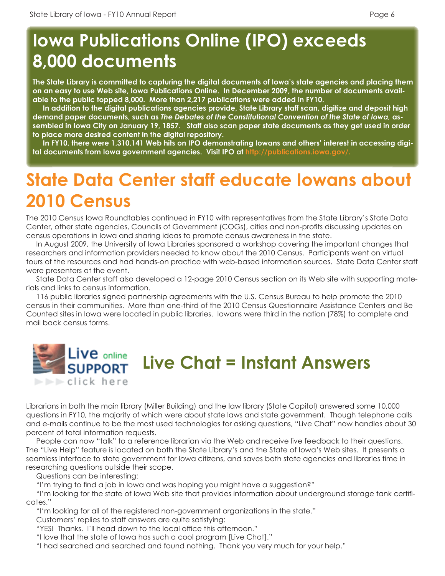### **Iowa Publications Online (IPO) exceeds 8,000 documents**

**The State Library is committed to capturing the digital documents of Iowa's state agencies and placing them on an easy to use Web site, Iowa Publications Online. In December 2009, the number of documents available to the public topped 8,000. More than 2,217 publications were added in FY10.** 

 **In addition to the digital publications agencies provide, State Library staff scan, digitize and deposit high demand paper documents, such as** *The Debates of the Constitutional Convention of the State of Iowa,* **assembled in Iowa City on January 19, 1857. Staff also scan paper state documents as they get used in order to place more desired content in the digital repository.** 

 **In FY10, there were 1,310,141 Web hits on IPO demonstrating Iowans and others' interest in accessing digital documents from Iowa government agencies. Visit IPO at [http://publications.iowa.gov/.](http://publications.iowa.gov/)**

# **State Data Center staff educate Iowans about 2010 Census**

The 2010 Census Iowa Roundtables continued in FY10 with representatives from the State Library's State Data Center, other state agencies, Councils of Government (COGs), cities and non-profits discussing updates on census operations in Iowa and sharing ideas to promote census awareness in the state.

 In August 2009, the University of Iowa Libraries sponsored a workshop covering the important changes that researchers and information providers needed to know about the 2010 Census. Participants went on virtual tours of the resources and had hands-on practice with web-based information sources. State Data Center staff were presenters at the event.

 State Data Center staff also developed a 12-page 2010 Census section on its Web site with supporting materials and links to census information.

 116 public libraries signed partnership agreements with the U.S. Census Bureau to help promote the 2010 census in their communities. More than one-third of the 2010 Census Questionnaire Assistance Centers and Be Counted sites in Iowa were located in public libraries. Iowans were third in the nation (78%) to complete and mail back census forms.



Librarians in both the main library (Miller Building) and the law library (State Capitol) answered some 10,000 questions in FY10, the majority of which were about state laws and state government. Though telephone calls and e-mails continue to be the most used technologies for asking questions, "Live Chat" now handles about 30 percent of total information requests.

 People can now "talk" to a reference librarian via the Web and receive live feedback to their questions. The "Live Help" feature is located on both the State Library's and the State of Iowa's Web sites. It presents a seamless interface to state government for Iowa citizens, and saves both state agencies and libraries time in researching questions outside their scope.

Questions can be interesting:

"I'm trying to find a job in lowa and was hoping you might have a suggestion?"

 "I'm looking for the state of Iowa Web site that provides information about underground storage tank certifi cates."

"I'm looking for all of the registered non-government organizations in the state."

Customers' replies to staff answers are quite satisfying:

"YES! Thanks. I'll head down to the local office this afternoon."

"I love that the state of Iowa has such a cool program [Live Chat]."

"I had searched and searched and found nothing. Thank you very much for your help."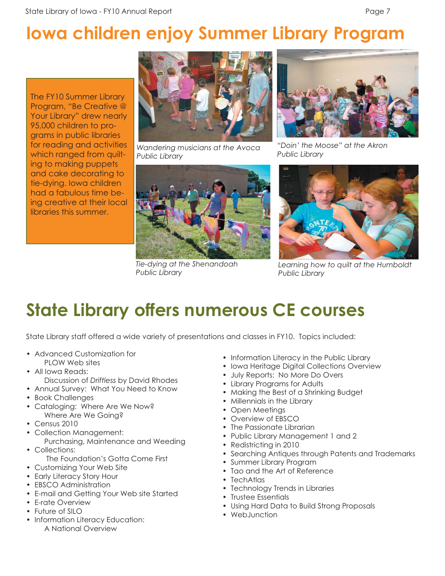# **Iowa children enjoy Summer Library Program**

The FY10 Summer Library Program, "Be Creative @ Your Library" drew nearly 95,000 children to programs in public libraries for reading and activities which ranged from quilting to making puppets and cake decorating to tie-dying. Iowa children had a fabulous time being creative at their local libraries this summer.



*Wandering musicians at the Avoca Public Library*



*Tie-dying at the Shenandoah Public Library*



*"Doin' the Moose" at the Akron* 



*Learning how to quilt at the Humboldt Public Library*

## **State Library offers numerous CE courses**

State Library staff offered a wide variety of presentations and classes in FY10. Topics included:

- Advanced Customization for PLOW Web sites
- All Iowa Reads: Discussion of *Driftless* by David Rhodes
- Annual Survey: What You Need to Know
- Book Challenges
- Cataloging: Where Are We Now? Where Are We Going?
- Census 2010
- Collection Management:
- Purchasing, Maintenance and Weeding • Collections:
	- The Foundation's Gotta Come First
- Customizing Your Web Site
- Early Literacy Story Hour
- **EBSCO** Administration
- E-mail and Getting Your Web site Started
- E-rate Overview
- Future of SILO
- Information Literacy Education: A National Overview
- Information Literacy in the Public Library
- Iowa Heritage Digital Collections Overview
- July Reports: No More Do Overs
- Library Programs for Adults
- Making the Best of a Shrinking Budget
- Millennials in the Library
- Open Meetings
- Overview of EBSCO
- The Passionate Librarian
- Public Library Management 1 and 2
- Redistricting in 2010
- Searching Antiques through Patents and Trademarks
- Summer Library Program
- Tao and the Art of Reference
- TechAtlas
- Technology Trends in Libraries
- Trustee Essentials
- Using Hard Data to Build Strong Proposals
- WebJunction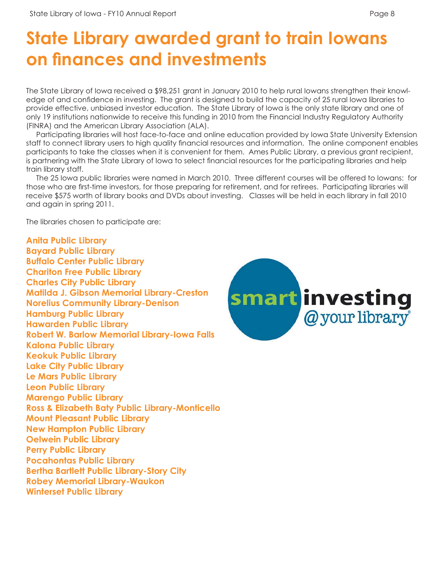# **State Library awarded grant to train Iowans on finances and investments**

The State Library of Iowa received a \$98,251 grant in January 2010 to help rural Iowans strengthen their knowledge of and confidence in investing. The grant is designed to build the capacity of 25 rural lowa libraries to provide effective, unbiased investor education. The State Library of Iowa is the only state library and one of only 19 institutions nationwide to receive this funding in 2010 from the Financial Industry Regulatory Authority (FINRA) and the American Library Association (ALA).

 Participating libraries will host face-to-face and online education provided by Iowa State University Extension staff to connect library users to high quality financial resources and information. The online component enables participants to take the classes when it is convenient for them. Ames Public Library, a previous grant recipient, is partnering with the State Library of Iowa to select financial resources for the participating libraries and help train library staff.

 The 25 Iowa public libraries were named in March 2010. Three different courses will be offered to Iowans: for those who are first-time investors, for those preparing for retirement, and for retirees. Participating libraries will receive \$575 worth of library books and DVDs about investing. Classes will be held in each library in fall 2010 and again in spring 2011.

The libraries chosen to participate are:

**Anita Public Library Bayard Public Library Buffalo Center Public Library Chariton Free Public Library Charles City Public Library Matilda J. Gibson Memorial Library-Creston Norelius Community Library-Denison Hamburg Public Library Hawarden Public Library Robert W. Barlow Memorial Library-Iowa Falls Kalona Public Library Keokuk Public Library Lake City Public Library Le Mars Public Library Leon Public Library Marengo Public Library Ross & Elizabeth Baty Public Library-Monticello Mount Pleasant Public Library New Hampton Public Library Oelwein Public Library Perry Public Library Pocahontas Public Library Bertha Bartlett Public Library-Story City Robey Memorial Library-Waukon Winterset Public Library**

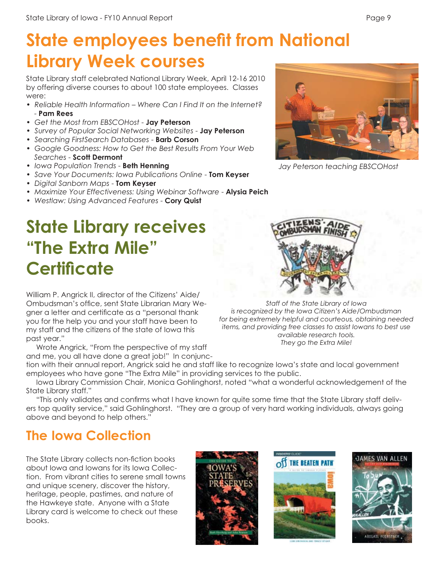# **State employees benefit from National Library Week courses**

State Library staff celebrated National Library Week, April 12-16 2010 by offering diverse courses to about 100 state employees. Classes were:

- *Reliable Health Information Where Can I Find It on the Internet?* - **Pam Rees**
- *Get the Most from EBSCOHost*  **Jay Peterson**
- *Survey of Popular Social Networking Websites* **Jay Peterson**
- *Searching FirstSearch Databases*  **Barb Corson**
- *Google Goodness: How to Get the Best Results From Your Web Searches* - **Scott Dermont**
- *Iowa Population Trends* **Beth Henning**
- *Save Your Documents: Iowa Publications Online* **Tom Keyser**
- *Digital Sanborn Maps* **Tom Keyser**
- *Maximize Your Effectiveness: Using Webinar Software* **Alysia Peich**
- *Westlaw: Using Advanced Features*  **Cory Quist**

## **State Library receives "The Extra Mile" Certificate**



*Jay Peterson teaching EBSCOHost*



*Staff of the State Library of Iowa is recognized by the Iowa Citizen's Aide/Ombudsman for being extremely helpful and courteous, obtaining needed items, and providing free classes to assist Iowans to best use available research tools. They go the Extra Mile!*

William P. Angrick II, director of the Citizens' Aide/ Ombudsman's office, sent State Librarian Mary Wegner a letter and certificate as a "personal thank you for the help you and your staff have been to my staff and the citizens of the state of Iowa this past year."

 Wrote Angrick, "From the perspective of my staff and me, you all have done a great job!" In conjunc-

tion with their annual report, Angrick said he and staff like to recognize Iowa's state and local government employees who have gone "The Extra Mile" in providing services to the public.

 Iowa Library Commission Chair, Monica Gohlinghorst, noted "what a wonderful acknowledgement of the State Library staff."

"This only validates and confirms what I have known for quite some time that the State Library staff delivers top quality service," said Gohlinghorst. "They are a group of very hard working individuals, always going above and beyond to help others."

#### **The Iowa Collection**

The State Library collects non-fiction books about Iowa and Iowans for its Iowa Collection. From vibrant cities to serene small towns and unique scenery, discover the history, heritage, people, pastimes, and nature of the Hawkeye state. Anyone with a State Library card is welcome to check out these books.





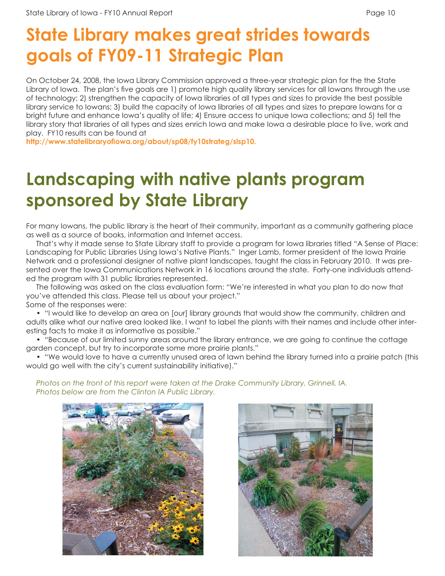## **State Library makes great strides towards goals of FY09-11 Strategic Plan**

On October 24, 2008, the Iowa Library Commission approved a three-year strategic plan for the the State Library of Iowa. The plan's five goals are 1) promote high quality library services for all Iowans through the use of technology; 2) strengthen the capacity of Iowa libraries of all types and sizes to provide the best possible library service to Iowans; 3) build the capacity of Iowa libraries of all types and sizes to prepare Iowans for a bright future and enhance Iowa's quality of life; 4) Ensure access to unique Iowa collections; and 5) tell the library story that libraries of all types and sizes enrich Iowa and make Iowa a desirable place to live, work and play. FY10 results can be found at

http://www.statelibraryofiowa.org/about/sp08/fy10strateg/slsp10.

### **Landscaping with native plants program sponsored by State Library**

For many Iowans, the public library is the heart of their community, important as a community gathering place as well as a source of books, information and Internet access.

 That's why it made sense to State Library staff to provide a program for Iowa libraries titled "A Sense of Place: Landscaping for Public Libraries Using Iowa's Native Plants." Inger Lamb, former president of the Iowa Prairie Network and a professional designer of native plant landscapes, taught the class in February 2010. It was presented over the Iowa Communications Network in 16 locations around the state. Forty-one individuals attended the program with 31 public libraries represented.

 The following was asked on the class evaluation form: "We're interested in what you plan to do now that you've attended this class. Please tell us about your project."

Some of the responses were:

 • "I would like to develop an area on [our] library grounds that would show the community, children and adults alike what our native area looked like. I want to label the plants with their names and include other interesting facts to make it as informative as possible."

 • "Because of our limited sunny areas around the library entrance, we are going to continue the cottage garden concept, but try to incorporate some more prairie plants."

 • "We would love to have a currently unused area of lawn behind the library turned into a prairie patch (this would go well with the city's current sustainability initiative)."



 *Photos on the front of this report were taken at the Drake Community Library, Grinnell, IA. Photos below are from the Clinton IA Public Library.*

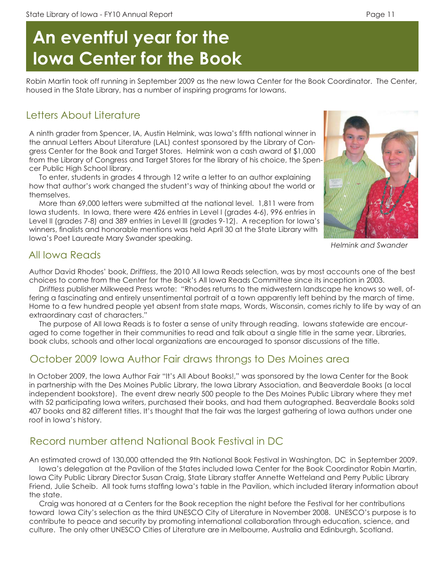# **An eventful year for the Iowa Center for the Book**

Robin Martin took off running in September 2009 as the new Iowa Center for the Book Coordinator. The Center, housed in the State Library, has a number of inspiring programs for Iowans.

#### Letters About Literature

A ninth grader from Spencer, IA, Austin Helmink, was Iowa's fifth national winner in the annual Letters About Literature (LAL) contest sponsored by the Library of Congress Center for the Book and Target Stores. Helmink won a cash award of \$1,000 from the Library of Congress and Target Stores for the library of his choice, the Spencer Public High School library.

 To enter, students in grades 4 through 12 write a letter to an author explaining how that author's work changed the student's way of thinking about the world or themselves.

 More than 69,000 letters were submitted at the national level. 1,811 were from Iowa students. In Iowa, there were 426 entries in Level I (grades 4-6), 996 entries in Level II (grades 7-8) and 389 entries in Level III (grades 9-12). A reception for Iowa's winners, finalists and honorable mentions was held April 30 at the State Library with Iowa's Poet Laureate Mary Swander speaking.



*Helmink and Swander*

#### All Iowa Reads

Author David Rhodes' book, *Driftless*, the 2010 All Iowa Reads selection, was by most accounts one of the best choices to come from the Center for the Book's All Iowa Reads Committee since its inception in 2003.

 *Driftless* publisher Milkweed Press wrote: "Rhodes returns to the midwestern landscape he knows so well, offering a fascinating and entirely unsentimental portrait of a town apparently left behind by the march of time. Home to a few hundred people yet absent from state maps, Words, Wisconsin, comes richly to life by way of an extraordinary cast of characters."

 The purpose of All Iowa Reads is to foster a sense of unity through reading. Iowans statewide are encouraged to come together in their communities to read and talk about a single title in the same year. Libraries, book clubs, schools and other local organizations are encouraged to sponsor discussions of the title.

#### October 2009 Iowa Author Fair draws throngs to Des Moines area

In October 2009, the Iowa Author Fair "It's All About Books!," was sponsored by the Iowa Center for the Book in partnership with the Des Moines Public Library, the Iowa Library Association, and Beaverdale Books (a local independent bookstore). The event drew nearly 500 people to the Des Moines Public Library where they met with 52 participating Iowa writers, purchased their books, and had them autographed. Beaverdale Books sold 407 books and 82 different titles. It's thought that the fair was the largest gathering of Iowa authors under one roof in Iowa's history.

#### Record number attend National Book Festival in DC

An estimated crowd of 130,000 attended the 9th National Book Festival in Washington, DC in September 2009.

 Iowa's delegation at the Pavilion of the States included Iowa Center for the Book Coordinator Robin Martin, Iowa City Public Library Director Susan Craig, State Library staffer Annette Wetteland and Perry Public Library Friend, Julie Scheib. All took turns staffing Iowa's table in the Pavilion, which included literary information about the state.

 Craig was honored at a Centers for the Book reception the night before the Festival for her contributions toward Iowa City's selection as the third UNESCO City of Literature in November 2008. UNESCO's purpose is to contribute to peace and security by promoting international collaboration through education, science, and culture. The only other UNESCO Cities of Literature are in Melbourne, Australia and Edinburgh, Scotland.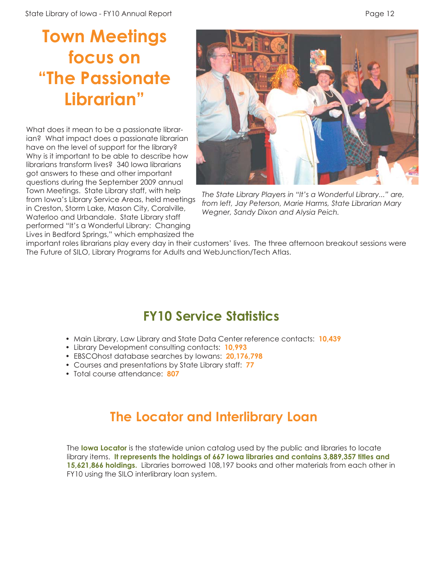### **Town Meetings focus on "The Passionate Librarian"**

What does it mean to be a passionate librarian? What impact does a passionate librarian have on the level of support for the library? Why is it important to be able to describe how librarians transform lives? 340 Iowa librarians got answers to these and other important questions during the September 2009 annual Town Meetings. State Library staff, with help from Iowa's Library Service Areas, held meetings in Creston, Storm Lake, Mason City, Coralville, Waterloo and Urbandale. State Library staff performed "It's a Wonderful Library: Changing Lives in Bedford Springs," which emphasized the



*The State Library Players in "It's a Wonderful Library..." are, from left, Jay Peterson, Marie Harms, State Librarian Mary Wegner, Sandy Dixon and Alysia Peich.*

important roles librarians play every day in their customers' lives. The three afternoon breakout sessions were The Future of SILO, Library Programs for Adults and WebJunction/Tech Atlas.

#### **FY10 Service Statistics**

- Main Library, Law Library and State Data Center reference contacts: **10,439**
- Library Development consulting contacts: **10,993**
- EBSCOhost database searches by Iowans: **20,176,798**
- Courses and presentations by State Library staff: **77**
- Total course attendance: **807**

#### **The Locator and Interlibrary Loan**

The **Iowa Locator** is the statewide union catalog used by the public and libraries to locate library items. **It represents the holdings of 667 Iowa libraries and contains 3,889,357 titles and 15,621,866 holdings.** Libraries borrowed 108,197 books and other materials from each other in FY10 using the SILO interlibrary loan system.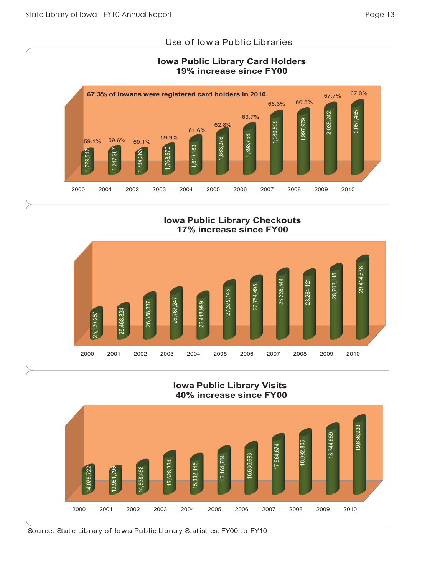#### Use of Iow a Public Libraries



**Iowa Public Library Checkouts 17% increase since FY00**



#### **Iowa Public Library Visits 40% increase since FY00**



Source: State Library of Iowa Public Library Statistics, FY00 to FY10